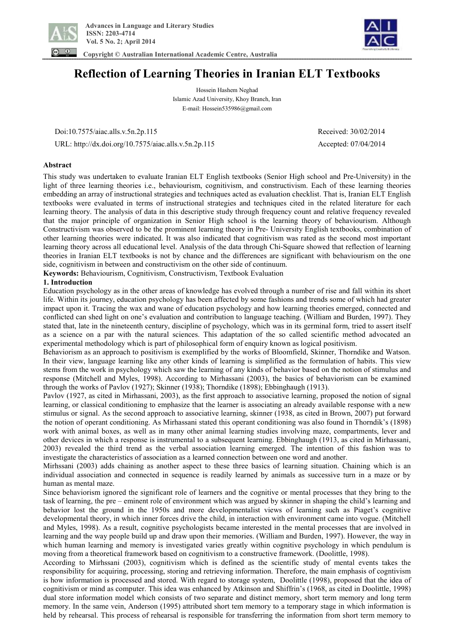



 **Copyright © Australian International Academic Centre, Australia** 

# **Reflection of Learning Theories in Iranian ELT Textbooks**

Hossein Hashem Neghad Islamic Azad University, Khoy Branch, Iran E-mail: Hossein535986@gmail.com

 Doi:10.7575/aiac.alls.v.5n.2p.115 Received: 30/02/2014 URL: http://dx.doi.org/10.7575/aiac.alls.v.5n.2p.115 Accepted: 07/04/2014

## **Abstract**

This study was undertaken to evaluate Iranian ELT English textbooks (Senior High school and Pre-University) in the light of three learning theories i.e., behaviourism, cognitivism, and constructivism. Each of these learning theories embedding an array of instructional strategies and techniques acted as evaluation checklist. That is, Iranian ELT English textbooks were evaluated in terms of instructional strategies and techniques cited in the related literature for each learning theory. The analysis of data in this descriptive study through frequency count and relative frequency revealed that the major principle of organization in Senior High school is the learning theory of behaviourism. Although Constructivism was observed to be the prominent learning theory in Pre- University English textbooks, combination of other learning theories were indicated. It was also indicated that cognitivism was rated as the second most important learning theory across all educational level. Analysis of the data through Chi-Square showed that reflection of learning theories in Iranian ELT textbooks is not by chance and the differences are significant with behaviourism on the one side, cognitivism in between and constructivism on the other side of continuum.

**Keywords:** Behaviourism, Cognitivism, Constructivism, Textbook Evaluation

## **1. Introduction**

Education psychology as in the other areas of knowledge has evolved through a number of rise and fall within its short life. Within its journey, education psychology has been affected by some fashions and trends some of which had greater impact upon it. Tracing the wax and wane of education psychology and how learning theories emerged, connected and conflicted can shed light on one's evaluation and contribution to language teaching. (William and Burden, 1997). They stated that, late in the nineteenth century, discipline of psychology, which was in its germinal form, tried to assert itself as a science on a par with the natural sciences. This adaptation of the so called scientific method advocated an experimental methodology which is part of philosophical form of enquiry known as logical positivism.

Behaviorism as an approach to positivism is exemplified by the works of Bloomfield, Skinner, Thorndike and Watson. In their view, language learning like any other kinds of learning is simplified as the formulation of habits. This view stems from the work in psychology which saw the learning of any kinds of behavior based on the notion of stimulus and response (Mitchell and Myles, 1998). According to Mirhassani (2003), the basics of behaviorism can be examined through the works of Pavlov (1927); Skinner (1938); Thorndike (1898); Ebbinghaugh (1913).

Pavlov (1927, as cited in Mirhassani, 2003), as the first approach to associative learning, proposed the notion of signal learning, or classical conditioning to emphasize that the learner is associating an already available response with a new stimulus or signal. As the second approach to associative learning, skinner (1938, as cited in Brown, 2007) put forward the notion of operant conditioning. As Mirhassani stated this operant conditioning was also found in Thorndik's (1898) work with animal boxes, as well as in many other animal learning studies involving maze, compartments, lever and other devices in which a response is instrumental to a subsequent learning. Ebbinghaugh (1913, as cited in Mirhassani, 2003) revealed the third trend as the verbal association learning emerged. The intention of this fashion was to investigate the characteristics of association as a learned connection between one word and another.

Mirhssani (2003) adds chaining as another aspect to these three basics of learning situation. Chaining which is an individual association and connected in sequence is readily learned by animals as successive turn in a maze or by human as mental maze.

Since behaviorism ignored the significant role of learners and the cognitive or mental processes that they bring to the task of learning, the pre – eminent role of environment which was argued by skinner in shaping the child's learning and behavior lost the ground in the 1950s and more developmentalist views of learning such as Piaget's cognitive developmental theory, in which inner forces drive the child, in interaction with environment came into vogue. (Mitchell and Myles, 1998). As a result, cognitive psychologists became interested in the mental processes that are involved in learning and the way people build up and draw upon their memories. (William and Burden, 1997). However, the way in which human learning and memory is investigated varies greatly within cognitive psychology in which pendulum is moving from a theoretical framework based on cognitivism to a constructive framework. (Doolittle, 1998).

According to Mirhssani (2003), cognitivism which is defined as the scientific study of mental events takes the responsibility for acquiring, processing, storing and retrieving information. Therefore, the main emphasis of cogntivism is how information is processed and stored. With regard to storage system, Doolittle (1998), proposed that the idea of cognitivism or mind as computer. This idea was enhanced by Atkinson and Shiffrin's (1968, as cited in Doolittle, 1998) dual store information model which consists of two separate and distinct memory, short term memory and long term memory. In the same vein, Anderson (1995) attributed short tem memory to a temporary stage in which information is held by rehearsal. This process of rehearsal is responsible for transferring the information from short term memory to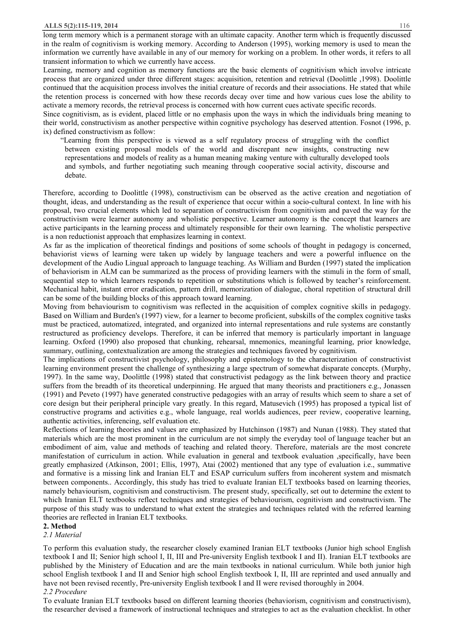long term memory which is a permanent storage with an ultimate capacity. Another term which is frequently discussed in the realm of cognitivism is working memory. According to Anderson (1995), working memory is used to mean the information we currently have available in any of our memory for working on a problem. In other words, it refers to all transient information to which we currently have access.

Learning, memory and cognition as memory functions are the basic elements of cognitivism which involve intricate process that are organized under three different stages: acquisition, retention and retrieval (Doolittle ,1998). Doolittle continued that the acquisition process involves the initial creature of records and their associations. He stated that while the retention process is concerned with how these records decay over time and how various cues lose the ability to activate a memory records, the retrieval process is concerned with how current cues activate specific records.

Since cognitivism, as is evident, placed little or no emphasis upon the ways in which the individuals bring meaning to their world, constructivism as another perspective within cognitive psychology has deserved attention. Fosnot (1996, p. ix) defined constructivism as follow:

 "Learning from this perspective is viewed as a self regulatory process of struggling with the conflict between existing proposal models of the world and discrepant new insights, constructing new representations and models of reality as a human meaning making venture with culturally developed tools and symbols, and further negotiating such meaning through cooperative social activity, discourse and debate.

Therefore, according to Doolittle (1998), constructivism can be observed as the active creation and negotiation of thought, ideas, and understanding as the result of experience that occur within a socio-cultural context. In line with his proposal, two crucial elements which led to separation of constructivism from cognitivism and paved the way for the constructivism were learner autonomy and wholistic perspective. Learner autonomy is the concept that learners are active participants in the learning process and ultimately responsible for their own learning. The wholistic perspective is a non reductionist approach that emphasizes learning in context.

As far as the implication of theoretical findings and positions of some schools of thought in pedagogy is concerned, behaviorist views of learning were taken up widely by language teachers and were a powerful influence on the development of the Audio Lingual approach to language teaching. As William and Burden (1997) stated the implication of behaviorism in ALM can be summarized as the process of providing learners with the stimuli in the form of small, sequential step to which learners responds to repetition or substitutions which is followed by teacher's reinforcement. Mechanical habit, instant error eradication, pattern drill, memorization of dialogue, choral repetition of structural drill can be some of the building blocks of this approach toward learning.

Moving from behaviourism to cognitivism was reflected in the acquisition of complex cognitive skills in pedagogy. Based on William and Burden's (1997) view, for a learner to become proficient, subskills of the complex cognitive tasks must be practiced, automatized, integrated, and organized into internal representations and rule systems are constantly restructured as proficiency develops. Therefore, it can be inferred that memory is particularly important in language learning. Oxford (1990) also proposed that chunking, rehearsal, mnemonics, meaningful learning, prior knowledge, summary, outlining, contextualization are among the strategies and techniques favored by cognitivism.

The implications of constructivist psychology, philosophy and epistemology to the characterization of constructivist learning environment present the challenge of synthesizing a large spectrum of somewhat disparate concepts. (Murphy, 1997). In the same way, Doolittle (1998) stated that constructivist pedagogy as the link between theory and practice suffers from the breadth of its theoretical underpinning. He argued that many theorists and practitioners e.g., Jonassen (1991) and Peveto (1997) have generated constructive pedagogies with an array of results which seem to share a set of core design but their peripheral principle vary greatly. In this regard, Matusevich (1995) has proposed a typical list of constructive programs and activities e.g., whole language, real worlds audiences, peer review, cooperative learning, authentic activities, inferencing, self evaluation etc.

Reflections of learning theories and values are emphasized by Hutchinson (1987) and Nunan (1988). They stated that materials which are the most prominent in the curriculum are not simply the everyday tool of language teacher but an embodiment of aim, value and methods of teaching and related theory. Therefore, materials are the most concrete manifestation of curriculum in action. While evaluation in general and textbook evaluation ,specifically, have been greatly emphasized (Atkinson, 2001; Ellis, 1997), Atai (2002) mentioned that any type of evaluation i.e., summative and formative is a missing link and Iranian ELT and ESAP curriculum suffers from incoherent system and mismatch between components.. Accordingly, this study has tried to evaluate Iranian ELT textbooks based on learning theories, namely behaviourism, cognitivism and constructivism. The present study, specifically, set out to determine the extent to which Iranian ELT textbooks reflect techniques and strategies of behaviourism, cognitivism and constructivism. The purpose of this study was to understand to what extent the strategies and techniques related with the referred learning theories are reflected in Iranian ELT textbooks.

## **2. Method**

*2.1 Material* 

To perform this evaluation study, the researcher closely examined Iranian ELT textbooks (Junior high school English textbook I and II; Senior high school I, II, III and Pre-university English textbook I and II). Iranian ELT textbooks are published by the Ministery of Education and are the main textbooks in national curriculum. While both junior high school English textbook I and II and Senior high school English textbook I, II, III are reprinted and used annually and have not been revised recently, Pre-university English textbook I and II were revised thoroughly in 2004.

#### *2.2 Procedure*

To evaluate Iranian ELT textbooks based on different learning theories (behaviorism, cognitivism and constructivism), the researcher devised a framework of instructional techniques and strategies to act as the evaluation checklist. In other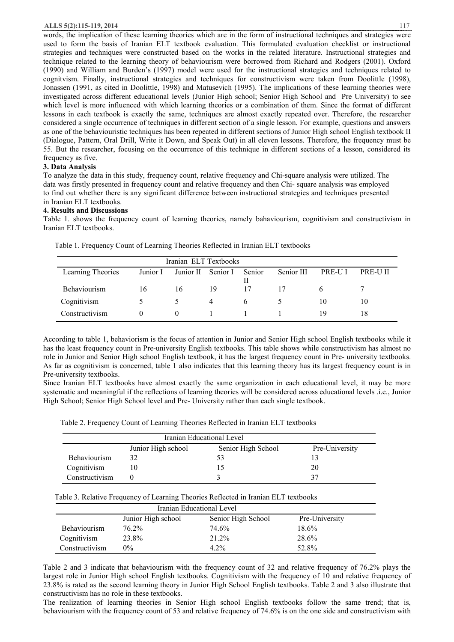#### **ALLS 5(2):115-119, 2014** 117

words, the implication of these learning theories which are in the form of instructional techniques and strategies were used to form the basis of Iranian ELT textbook evaluation. This formulated evaluation checklist or instructional strategies and techniques were constructed based on the works in the related literature. Instructional strategies and technique related to the learning theory of behaviourism were borrowed from Richard and Rodgers (2001). Oxford (1990) and William and Burden's (1997) model were used for the instructional strategies and techniques related to cognitvism. Finally, instructional strategies and techniques for constructivism were taken from Doolittle (1998), Jonassen (1991, as cited in Doolittle, 1998) and Matusevich (1995). The implications of these learning theories were investigated across different educational levels (Junior High school; Senior High School and Pre University) to see which level is more influenced with which learning theories or a combination of them. Since the format of different lessons in each textbook is exactly the same, techniques are almost exactly repeated over. Therefore, the researcher considered a single occurrence of techniques in different section of a single lesson. For example, questions and answers as one of the behaviouristic techniques has been repeated in different sections of Junior High school English textbook II (Dialogue, Pattern, Oral Drill, Write it Down, and Speak Out) in all eleven lessons. Therefore, the frequency must be 55. But the researcher, focusing on the occurrence of this technique in different sections of a lesson, considered its frequency as five.

# **3. Data Analysis**

To analyze the data in this study, frequency count, relative frequency and Chi-square analysis were utilized. The data was firstly presented in frequency count and relative frequency and then Chi- square analysis was employed to find out whether there is any significant difference between instructional strategies and techniques presented in Iranian ELT textbooks.

# **4. Results and Discussions**

Table 1. shows the frequency count of learning theories, namely bahaviourism, cognitivism and constructivism in Iranian ELT textbooks.

|                   |               | Iranian ELT Textbooks |                |              |            |        |                |
|-------------------|---------------|-----------------------|----------------|--------------|------------|--------|----------------|
| Learning Theories | Junior I      | Junior II             | Senior I       | Senior       | Senior III | PRE-UI | <b>PRE-UIL</b> |
|                   |               |                       |                | $\mathbf{H}$ |            |        |                |
| Behaviourism      | 16            | 16                    | 19             | 17           | 17         |        |                |
| Cognitivism       | $\mathcal{D}$ |                       | $\overline{4}$ | h            |            | 10     | 10             |
| Constructivism    | $\theta$      | $\theta$              |                |              |            | 19     | 18             |

Table 1. Frequency Count of Learning Theories Reflected in Iranian ELT textbooks

According to table 1, behaviorism is the focus of attention in Junior and Senior High school English textbooks while it has the least frequency count in Pre-university English textbooks. This table shows while constructivism has almost no role in Junior and Senior High school English textbook, it has the largest frequency count in Pre- university textbooks. As far as cognitivism is concerned, table 1 also indicates that this learning theory has its largest frequency count is in Pre-university textbooks.

Since Iranian ELT textbooks have almost exactly the same organization in each educational level, it may be more systematic and meaningful if the reflections of learning theories will be considered across educational levels .i.e., Junior High School; Senior High School level and Pre- University rather than each single textbook.

Table 2. Frequency Count of Learning Theories Reflected in Iranian ELT textbooks

|                |                    | Iranian Educational Level |                |
|----------------|--------------------|---------------------------|----------------|
|                | Junior High school | Senior High School        | Pre-University |
| Behaviourism   | 32                 | 53                        |                |
| Cognitivism    |                    | L5                        | 20             |
| Constructivism |                    |                           | 37             |

Table 3. Relative Frequency of Learning Theories Reflected in Iranian ELT textbooks

|                     | Iranian Educational Level |                    |                |
|---------------------|---------------------------|--------------------|----------------|
|                     | Junior High school        | Senior High School | Pre-University |
| <b>Behaviourism</b> | 76.2%                     | 74.6%              | $18.6\%$       |
| Cognitivism         | 23.8%                     | 21.2%              | 28.6%          |
| Constructivism      | $0\%$                     | $4.2\%$            | 52.8%          |

Table 2 and 3 indicate that behaviourism with the frequency count of 32 and relative frequency of 76.2% plays the largest role in Junior High school English textbooks. Cognitivism with the frequency of 10 and relative frequency of 23.8% is rated as the second learning theory in Junior High School English textbooks. Table 2 and 3 also illustrate that constructivism has no role in these textbooks.

The realization of learning theories in Senior High school English textbooks follow the same trend; that is, behaviourism with the frequency count of 53 and relative frequency of 74.6% is on the one side and constructivism with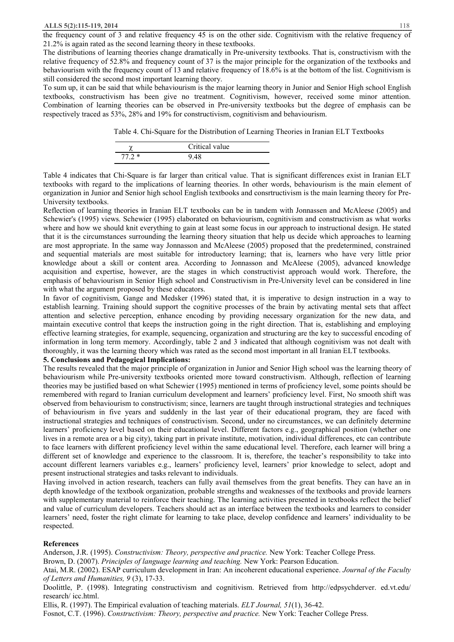the frequency count of 3 and relative frequency 45 is on the other side. Cognitivism with the relative frequency of 21.2% is again rated as the second learning theory in these textbooks.

The distributions of learning theories change dramatically in Pre-university textbooks. That is, constructivism with the relative frequency of 52.8% and frequency count of 37 is the major principle for the organization of the textbooks and behaviourism with the frequency count of 13 and relative frequency of 18.6% is at the bottom of the list. Cognitivism is still considered the second most important learning theory.

To sum up, it can be said that while behaviourism is the major learning theory in Junior and Senior High school English textbooks, constructivism has been give no treatment. Cognitivism, however, received some minor attention. Combination of learning theories can be observed in Pre-university textbooks but the degree of emphasis can be respectively traced as 53%, 28% and 19% for constructivism, cognitivism and behaviourism.

Table 4. Chi-Square for the Distribution of Learning Theories in Iranian ELT Textbooks

|         | Critical value |
|---------|----------------|
| $77.2*$ |                |

Table 4 indicates that Chi-Square is far larger than critical value. That is significant differences exist in Iranian ELT textbooks with regard to the implications of learning theories. In other words, behaviourism is the main element of organization in Junior and Senior high school English textbooks and consrtructivism is the main learning theory for Pre-University textbooks.

Reflection of learning theories in Iranian ELT textbooks can be in tandem with Jonnassen and McAleese (2005) and Schewier's (1995) views. Schewier (1995) elaborated on behaviourism, cognitivism and constructivism as what works where and how we should knit everything to gain at least some focus in our approach to instructional design. He stated that it is the circumstances surrounding the learning theory situation that help us decide which approaches to learning are most appropriate. In the same way Jonnasson and McAleese (2005) proposed that the predetermined, constrained and sequential materials are most suitable for introductory learning; that is, learners who have very little prior knowledge about a skill or content area. According to Jonnasson and McAleese (2005), advanced knowledge acquisition and expertise, however, are the stages in which constructivist approach would work. Therefore, the emphasis of behaviourism in Senior High school and Constructivism in Pre-University level can be considered in line with what the argument proposed by these educators.

In favor of cognitivism, Gange and Medsker (1996) stated that, it is imperative to design instruction in a way to establish learning. Training should support the cognitive processes of the brain by activating mental sets that affect attention and selective perception, enhance encoding by providing necessary organization for the new data, and maintain executive control that keeps the instruction going in the right direction. That is, establishing and employing effective learning strategies, for example, sequencing, organization and structuring are the key to successful encoding of information in long term memory. Accordingly, table 2 and 3 indicated that although cognitivism was not dealt with thoroughly, it was the learning theory which was rated as the second most important in all Iranian ELT textbooks.

## **5. Conclusions and Pedagogical Implications:**

The results revealed that the major principle of organization in Junior and Senior High school was the learning theory of behaviourism while Pre-university textbooks oriented more toward constructivism. Although, reflection of learning theories may be justified based on what Schewier (1995) mentioned in terms of proficiency level, some points should be remembered with regard to Iranian curriculum development and learners' proficiency level. First, No smooth shift was observed from behaviourism to constructivism; since, learners are taught through instructional strategies and techniques of behaviourism in five years and suddenly in the last year of their educational program, they are faced with instructional strategies and techniques of constructivism. Second, under no circumstances, we can definitely determine learners' proficiency level based on their educational level. Different factors e.g., geographical position (whether one lives in a remote area or a big city), taking part in private institute, motivation, individual differences, etc can contribute to face learners with different proficiency level within the same educational level. Therefore, each learner will bring a different set of knowledge and experience to the classroom. It is, therefore, the teacher's responsibility to take into account different learners variables e.g., learners' proficiency level, learners' prior knowledge to select, adopt and present instructional strategies and tasks relevant to individuals.

Having involved in action research, teachers can fully avail themselves from the great benefits. They can have an in depth knowledge of the textbook organization, probable strengths and weaknesses of the textbooks and provide learners with supplementary material to reinforce their teaching. The learning activities presented in textbooks reflect the belief and value of curriculum developers. Teachers should act as an interface between the textbooks and learners to consider learners' need, foster the right climate for learning to take place, develop confidence and learners' individuality to be respected.

### **References**

Anderson, J.R. (1995). *Constructivism: Theory, perspective and practice.* New York: Teacher College Press.

Brown, D. (2007). *Principles of language learning and teaching.* New York: Pearson Education.

Atai, M.R. (2002). ESAP curriculum development in Iran: An incoherent educational experience. *Journal of the Faculty of Letters and Humanities, 9* (3), 17-33.

Doolittle, P. (1998). Integrating constructivism and cognitivism. Retrieved from http://edpsychderver. ed.vt.edu/ research/ icc.html.

Ellis, R. (1997). The Empirical evaluation of teaching materials. *ELT Journal, 51*(1), 36-42.

Fosnot, C.T. (1996). *Constructivism: Theory, perspective and practice.* New York: Teacher College Press.